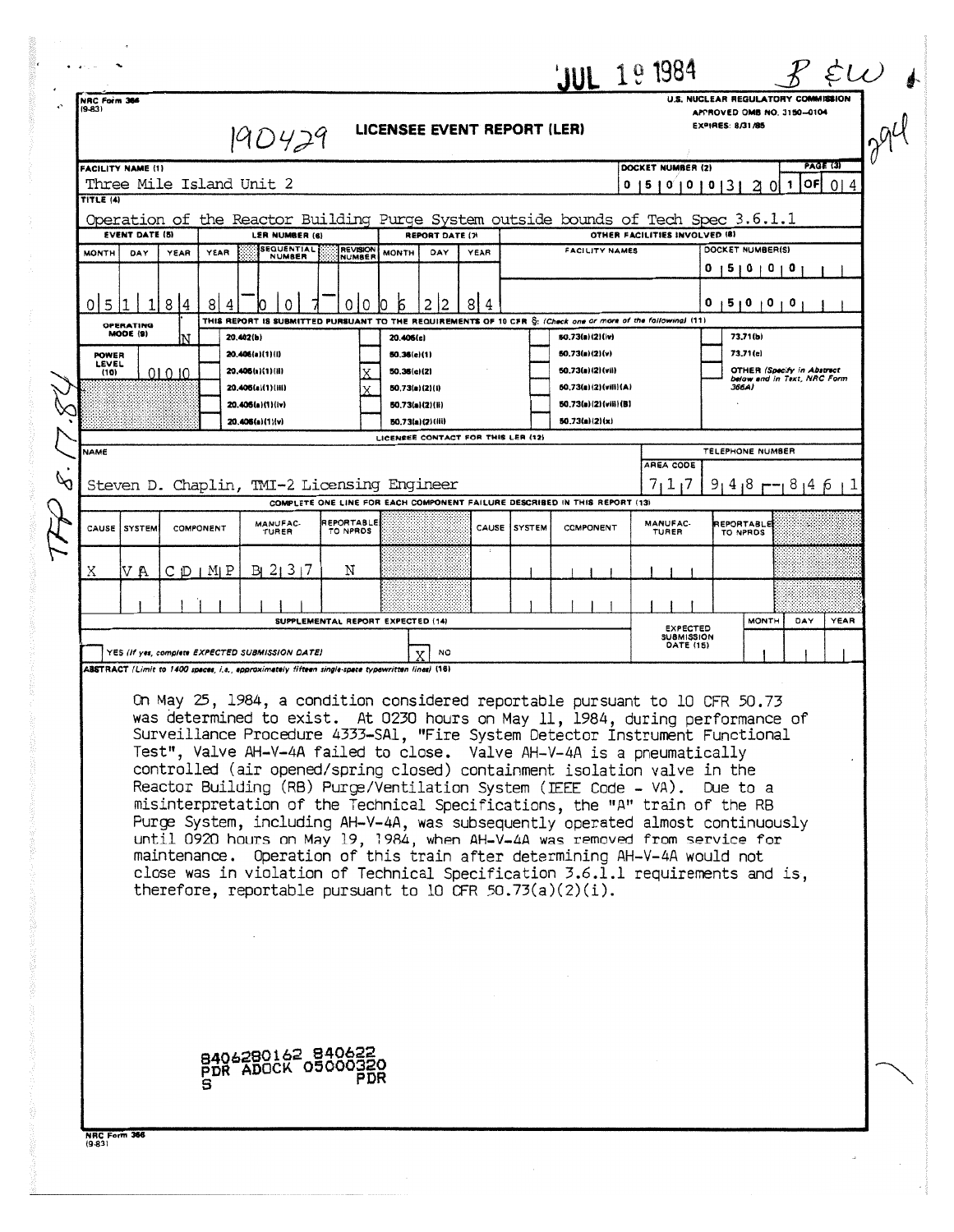| NRC Form 366<br>$(9-83)$<br>TITLE (4)<br><b>MONTH</b><br>0 5 | DAY                                                                                                                                                                                                                                                                                                                                                                                                                                                                                                                                                                                                                                                                                                                                                                                                                                                                                                            |                                                                                                                                  | $ 9D429 $ LICENSEE EVENT REPORT (LER)                                                                                                                   |                        |                                                                                                                                               |       |                                        |                                        |  |                                                                            | U.S. NUCLEAR REGULATORY COMMISSION                                           |                            |  |  |
|--------------------------------------------------------------|----------------------------------------------------------------------------------------------------------------------------------------------------------------------------------------------------------------------------------------------------------------------------------------------------------------------------------------------------------------------------------------------------------------------------------------------------------------------------------------------------------------------------------------------------------------------------------------------------------------------------------------------------------------------------------------------------------------------------------------------------------------------------------------------------------------------------------------------------------------------------------------------------------------|----------------------------------------------------------------------------------------------------------------------------------|---------------------------------------------------------------------------------------------------------------------------------------------------------|------------------------|-----------------------------------------------------------------------------------------------------------------------------------------------|-------|----------------------------------------|----------------------------------------|--|----------------------------------------------------------------------------|------------------------------------------------------------------------------|----------------------------|--|--|
|                                                              |                                                                                                                                                                                                                                                                                                                                                                                                                                                                                                                                                                                                                                                                                                                                                                                                                                                                                                                |                                                                                                                                  |                                                                                                                                                         |                        |                                                                                                                                               |       |                                        |                                        |  |                                                                            | EXPIRES: 8/31/85                                                             | APPROVED OMB NO. 3150-0104 |  |  |
|                                                              |                                                                                                                                                                                                                                                                                                                                                                                                                                                                                                                                                                                                                                                                                                                                                                                                                                                                                                                |                                                                                                                                  | <b>FACILITY NAME (1)</b><br>Three Mile Island Unit 2                                                                                                    |                        |                                                                                                                                               |       |                                        |                                        |  | <b>PAGE (3)</b><br>DOCKET NUMBER (2)<br>20110F014<br>0   5   0   0   0   3 |                                                                              |                            |  |  |
|                                                              |                                                                                                                                                                                                                                                                                                                                                                                                                                                                                                                                                                                                                                                                                                                                                                                                                                                                                                                |                                                                                                                                  | Operation of the Reactor Building Purge System outside bounds of Tech Spec 3.6.1.1<br><b>EVENT DATE (5)</b><br>LER NUMBER (6)<br><b>REPORT DATE (7)</b> |                        |                                                                                                                                               |       |                                        | OTHER FACILITIES INVOLVED (8)          |  |                                                                            |                                                                              |                            |  |  |
|                                                              |                                                                                                                                                                                                                                                                                                                                                                                                                                                                                                                                                                                                                                                                                                                                                                                                                                                                                                                | <b>SEQUENTIAL</b><br>REVISION<br><b>FACILITY NAMES</b><br>YEAR<br><b>MONTH</b><br>DAY<br><b>YEAR</b><br>YEAR<br>NUMBER<br>NUMBER |                                                                                                                                                         |                        |                                                                                                                                               |       | DOCKET NUMBER(S)<br>0 15 10 10 10      |                                        |  |                                                                            |                                                                              |                            |  |  |
|                                                              |                                                                                                                                                                                                                                                                                                                                                                                                                                                                                                                                                                                                                                                                                                                                                                                                                                                                                                                | 8 4<br>81<br>4                                                                                                                   | $\Omega$                                                                                                                                                | l 0<br>0               | $\mathbf{5}$<br>2 2<br>IO.                                                                                                                    | 8 4   |                                        |                                        |  | 5 0 0<br>$\sqrt{0}$                                                        |                                                                              |                            |  |  |
|                                                              | OPERATING<br>MODE (9)                                                                                                                                                                                                                                                                                                                                                                                                                                                                                                                                                                                                                                                                                                                                                                                                                                                                                          |                                                                                                                                  | 20.402(b)                                                                                                                                               |                        | THIS REPORT IS SUBMITTED PURSUANT TO THE REQUIREMENTS OF 10 CFR S: (Check one or more of the following) (11)<br>20.406(c)                     |       |                                        | 50.73(a)(2)(iv)                        |  |                                                                            | 73,71(b)                                                                     |                            |  |  |
| <b>POWER</b><br>LEVEL<br>(10)                                |                                                                                                                                                                                                                                                                                                                                                                                                                                                                                                                                                                                                                                                                                                                                                                                                                                                                                                                | 01010                                                                                                                            | 20,406(a)(1)(i)<br>20.406(a)(1)(ii)<br>20.405(a)(1)(iii)                                                                                                |                        | 50.36(e)(1)<br>50.73(a)(2)(v)<br>50.36(c)(2)<br>50.73(a)(2)(vii)<br>50.73(a)(2)(vili)(A)<br>50.73(a)(2)(i)                                    |       |                                        |                                        |  | 366A)                                                                      | 73,71(c)<br><b>OTHER (Specify in Abstract</b><br>below and in Text, NRC Form |                            |  |  |
|                                                              |                                                                                                                                                                                                                                                                                                                                                                                                                                                                                                                                                                                                                                                                                                                                                                                                                                                                                                                |                                                                                                                                  | 20.406(a)(1)(lv)<br>20.406(a)(1)(v)                                                                                                                     |                        | 50.73(a)(2)(ii)<br>50.73(a)(2)(iii)<br>LICENSEE CONTACT FOR THIS LER (12)                                                                     |       |                                        | 50.73(a)(2)(viii)(B)<br>50.73(a)(2)(x) |  |                                                                            |                                                                              |                            |  |  |
| <b>NAME</b><br>$\varphi$                                     |                                                                                                                                                                                                                                                                                                                                                                                                                                                                                                                                                                                                                                                                                                                                                                                                                                                                                                                |                                                                                                                                  |                                                                                                                                                         |                        |                                                                                                                                               |       |                                        |                                        |  | AREA CODE                                                                  | TELEPHONE NUMBER                                                             |                            |  |  |
|                                                              |                                                                                                                                                                                                                                                                                                                                                                                                                                                                                                                                                                                                                                                                                                                                                                                                                                                                                                                |                                                                                                                                  | Steven D. Chaplin, TMI-2 Licensing Engineer                                                                                                             |                        | COMPLETE ONE LINE FOR EACH COMPONENT FAILURE DESCRIBED IN THIS REPORT (13)                                                                    |       |                                        |                                        |  | 7117                                                                       | $91418 - 814611$                                                             |                            |  |  |
|                                                              | CAUSE SYSTEM                                                                                                                                                                                                                                                                                                                                                                                                                                                                                                                                                                                                                                                                                                                                                                                                                                                                                                   | COMPONENT                                                                                                                        | MANUFAC-<br>TURER                                                                                                                                       | REPORTABLE<br>TO NPROS |                                                                                                                                               | CAUSE | <b>SYSTEM</b>                          | COMPONENT                              |  | MANUFAC-<br>TURER                                                          | REPORTABLE<br>TO NPROS                                                       |                            |  |  |
| Χ                                                            | IV A                                                                                                                                                                                                                                                                                                                                                                                                                                                                                                                                                                                                                                                                                                                                                                                                                                                                                                           | $C$ $D$   $M$   $P$                                                                                                              | B1 21 317                                                                                                                                               | Ν                      |                                                                                                                                               |       |                                        |                                        |  |                                                                            |                                                                              |                            |  |  |
|                                                              | SUPPLEMENTAL REPORT EXPECTED (14)                                                                                                                                                                                                                                                                                                                                                                                                                                                                                                                                                                                                                                                                                                                                                                                                                                                                              |                                                                                                                                  |                                                                                                                                                         |                        |                                                                                                                                               |       | <b>MONTH</b><br>DAY<br><b>EXPECTED</b> |                                        |  | YEAR                                                                       |                                                                              |                            |  |  |
|                                                              | YES (If yes, complete EXPECTED SUBMISSION DATE)<br>NO                                                                                                                                                                                                                                                                                                                                                                                                                                                                                                                                                                                                                                                                                                                                                                                                                                                          |                                                                                                                                  |                                                                                                                                                         |                        |                                                                                                                                               |       |                                        | SUBMISSION<br><b>DATE (15)</b>         |  |                                                                            |                                                                              |                            |  |  |
|                                                              | ABSTRACT (Limit to 1400 spaces, i.e., approximately fifteen single-space typewritten lines) (18)<br>On May 25, 1984, a condition considered reportable pursuant to 10 CFR 50.73<br>was determined to exist. At 0230 hours on May 11, 1984, during performance of<br>Surveillance Procedure 4333-SAl, "Fire System Detector Instrument Functional<br>Test", Valve AH-V-4A failed to close. Valve AH-V-4A is a pneumatically<br>controlled (air opened/spring closed) containment isolation valve in the<br>Reactor Building (RB) Purge/Ventilation System (IEEE Code - VA). Due to a<br>misinterpretation of the Technical Specifications, the "A" train of the RB<br>Purge System, including AH-V-4A, was subsequently operated almost continuously<br>until 0920 hours on May 19, 1984, when AH-V-4A was removed from service for<br>maintenance. Operation of this train after determining AH-V-4A would not |                                                                                                                                  |                                                                                                                                                         |                        |                                                                                                                                               |       |                                        |                                        |  |                                                                            |                                                                              |                            |  |  |
|                                                              |                                                                                                                                                                                                                                                                                                                                                                                                                                                                                                                                                                                                                                                                                                                                                                                                                                                                                                                |                                                                                                                                  |                                                                                                                                                         |                        | close was in violation of Technical Specification 3.6.1.1 requirements and is,<br>therefore, reportable pursuant to 10 OFR $50.73(a)(2)(i)$ . |       |                                        |                                        |  |                                                                            |                                                                              |                            |  |  |
| NRC Form 366                                                 |                                                                                                                                                                                                                                                                                                                                                                                                                                                                                                                                                                                                                                                                                                                                                                                                                                                                                                                |                                                                                                                                  | 8406280162 840622<br>PDR ADOCK 05000320                                                                                                                 | PDR                    |                                                                                                                                               |       |                                        |                                        |  |                                                                            |                                                                              |                            |  |  |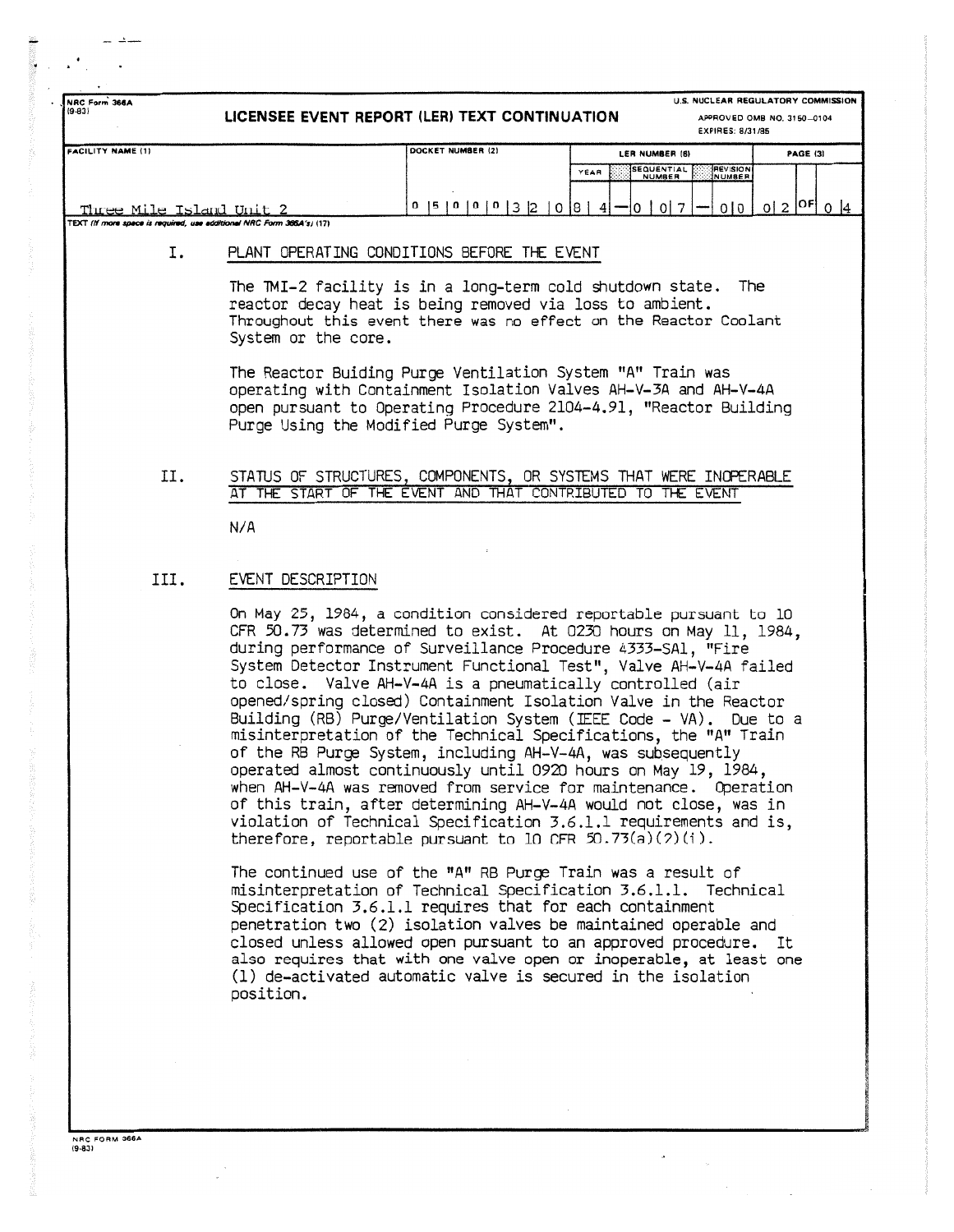| NRC Form 366A<br>(9.83)                                                                           |                   | LICENSEE EVENT REPORT (LER) TEXT CONTINUATION                                                                                                                                                                                                                                                                                                                                                                 |                                            | U.S. NUCLEAR REGULATORY COMMISSION<br>APPROVED OMB NO. 3150-0104<br>EXPIRES: 8/31/85 |  |  |  |  |  |
|---------------------------------------------------------------------------------------------------|-------------------|---------------------------------------------------------------------------------------------------------------------------------------------------------------------------------------------------------------------------------------------------------------------------------------------------------------------------------------------------------------------------------------------------------------|--------------------------------------------|--------------------------------------------------------------------------------------|--|--|--|--|--|
| <b>FACILITY NAME (1)</b>                                                                          |                   | DOCKET NUMBER (2)                                                                                                                                                                                                                                                                                                                                                                                             | LER NUMBER (6)                             | <b>PAGE (3)</b>                                                                      |  |  |  |  |  |
|                                                                                                   |                   |                                                                                                                                                                                                                                                                                                                                                                                                               | <b>SEQUENTIAL</b><br>YEAR<br><b>NUMBER</b> | <b>REVISION</b><br>NUMBER                                                            |  |  |  |  |  |
|                                                                                                   |                   |                                                                                                                                                                                                                                                                                                                                                                                                               |                                            |                                                                                      |  |  |  |  |  |
| Three Mile Island Unit 2<br>TEXT (If more space is required, use additional NRC Form 366A's) (17) |                   | $0$  5   0   0   0   3   2   0   8   4   -   0   0   7   -                                                                                                                                                                                                                                                                                                                                                    |                                            | $0 0 0 2 ^{OF}0 4$                                                                   |  |  |  |  |  |
|                                                                                                   |                   |                                                                                                                                                                                                                                                                                                                                                                                                               |                                            |                                                                                      |  |  |  |  |  |
| Ι.                                                                                                |                   | PLANT OPERATING CONDITIONS BEFORE THE EVENT                                                                                                                                                                                                                                                                                                                                                                   |                                            |                                                                                      |  |  |  |  |  |
|                                                                                                   |                   | The TMI-2 facility is in a long-term cold shutdown state.<br>The<br>reactor decay heat is being removed via loss to ambient.<br>Throughout this event there was no effect on the Reactor Coolant<br>System or the core.                                                                                                                                                                                       |                                            |                                                                                      |  |  |  |  |  |
|                                                                                                   |                   | The Reactor Buiding Purge Ventilation System "A" Train was<br>operating with Containment Isolation Valves AH-V-3A and AH-V-4A<br>open pursuant to Operating Procedure 2104-4.91, "Reactor Building<br>Purge Using the Modified Purge System".                                                                                                                                                                 |                                            |                                                                                      |  |  |  |  |  |
| П.                                                                                                |                   | STATUS OF STRUCTURES, COMPONENTS, OR SYSTEMS THAT WERE INOPERABLE<br>AT THE START OF THE EVENT AND THAT CONTRIBUTED TO THE EVENT                                                                                                                                                                                                                                                                              |                                            |                                                                                      |  |  |  |  |  |
|                                                                                                   | N/A               |                                                                                                                                                                                                                                                                                                                                                                                                               |                                            |                                                                                      |  |  |  |  |  |
|                                                                                                   |                   |                                                                                                                                                                                                                                                                                                                                                                                                               |                                            |                                                                                      |  |  |  |  |  |
| III.                                                                                              | EVENT DESCRIPTION |                                                                                                                                                                                                                                                                                                                                                                                                               |                                            |                                                                                      |  |  |  |  |  |
|                                                                                                   |                   | On May 25, 1984, a condition considered reportable pursuant to 10<br>CFR 50.73 was determined to exist. At 0230 hours on May 11, 1984,<br>during performance of Surveillance Procedure 4333-SAl, "Fire<br>System Detector Instrument Functional Test", Valve AH-V-4A failed<br>to close. Valve AH-V-4A is a pneumatically controlled (air<br>opened/spring closed) Containment Isolation Valve in the Reactor |                                            |                                                                                      |  |  |  |  |  |

opened/spring closed) Containment Isolation Valve in the Reactor Building (RB) Purge/Ventilation System (IEEE Code - VA) . Due to a misinterpretation of the Technical Specifications, the "A" Train of the RB Purge System, including AH-V-4A, was subsequently operated almost continuously until 0920 hours on May 19, 1984 , when AH-V-4A was removed from service for maintenance . Operation of this train, after determining AH-V-4A would not close, was in violation of Technical Specification 3 .6 .1 .1 requirements and is , therefore, reportable pursuant to 10 CFR  $50.73(a)(7)(i)$ .

The continued use of the "A" RB Purge Train was a result of misinterpretation of Technical Specification 3 .6 .1 .1 . Technical Specification 3.6.1.1 requires that for each containment penetration two (2) isolation valves be maintained operable and closed unless allowed open pursuant to an approved procedure. It also requires that with one valve open or inoperable, at least one (1) de-activated automatic valve is secured in the isolation position.

NRC FORM 368 A (9-831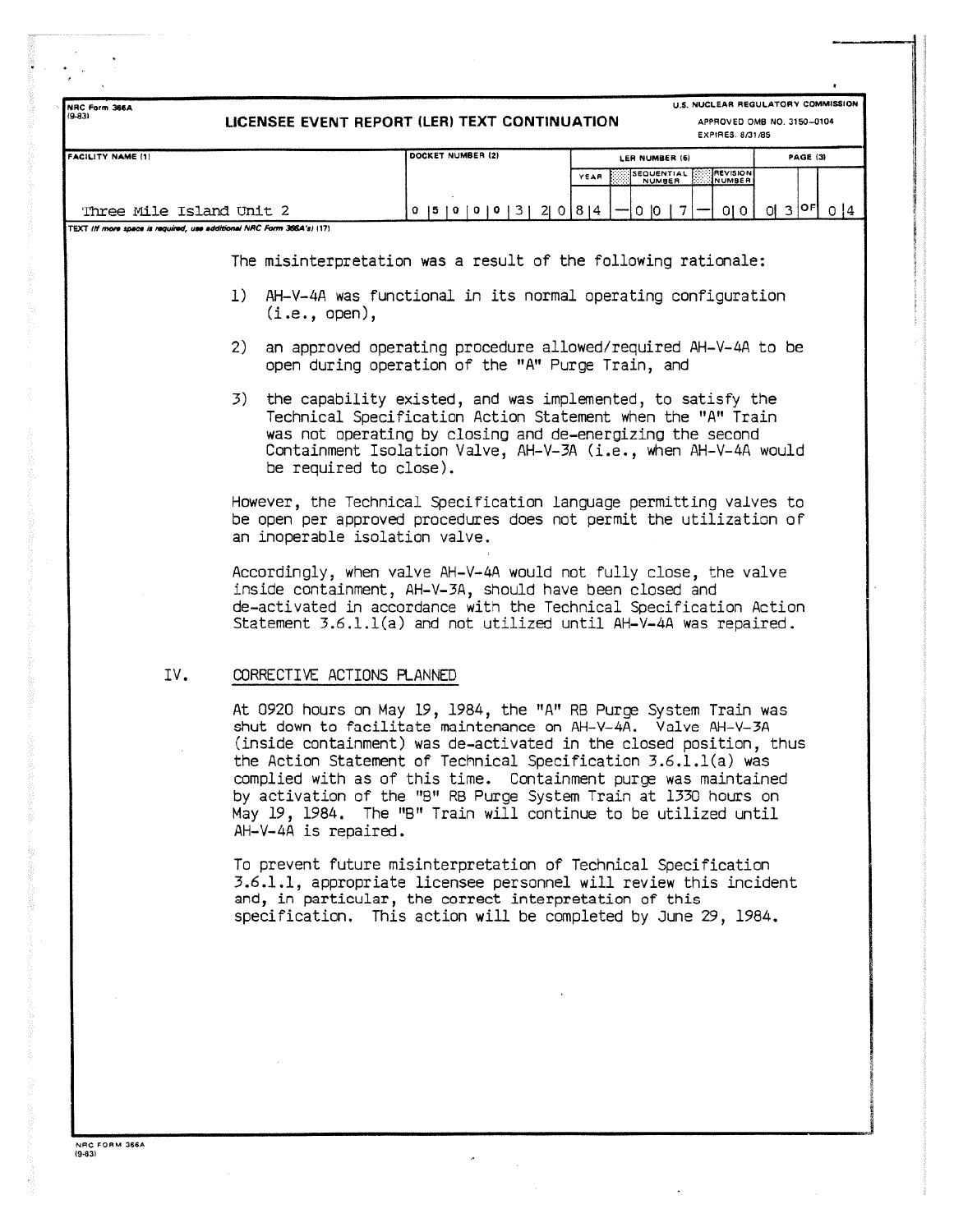| NRC Form 366A<br>$(9 - 83)$ | LICENSEE EVENT REPORT (LER) TEXT CONTINUATION                         | U.S. NUCLEAR REGULATORY COMMISSION<br>APPROVED OMB NO. 3150-0104<br>EXPIRES: 8/31/85                                                                                                                                                                                                                                                                                                                                                                                              |                                     |                           |                             |
|-----------------------------|-----------------------------------------------------------------------|-----------------------------------------------------------------------------------------------------------------------------------------------------------------------------------------------------------------------------------------------------------------------------------------------------------------------------------------------------------------------------------------------------------------------------------------------------------------------------------|-------------------------------------|---------------------------|-----------------------------|
| <b>FACILITY NAME (1)</b>    |                                                                       | DOCKET NUMBER (2)                                                                                                                                                                                                                                                                                                                                                                                                                                                                 | LER NUMBER (6)<br>EQUENTIAL<br>YEAR | <b>REVISION</b><br>NUMBER | PAGE (3)                    |
| Three Mile Island Unit 2    |                                                                       | 0  5  0  0  0  3  2  0  8  4                                                                                                                                                                                                                                                                                                                                                                                                                                                      | 0 10 1 7                            | 0 0                       | $0 3 $ <sup>OF</sup> $ 0 4$ |
|                             | TEXT (If more space is required, use additional NRC Form 366A's) (17) |                                                                                                                                                                                                                                                                                                                                                                                                                                                                                   |                                     |                           |                             |
|                             |                                                                       | The misinterpretation was a result of the following rationale:                                                                                                                                                                                                                                                                                                                                                                                                                    |                                     |                           |                             |
|                             | 1)<br>(i.e., open),                                                   | AH-V-4A was functional in its normal operating configuration                                                                                                                                                                                                                                                                                                                                                                                                                      |                                     |                           |                             |
|                             | (2)                                                                   | an approved operating procedure allowed/required AH-V-4A to be<br>open during operation of the "A" Purge Train, and                                                                                                                                                                                                                                                                                                                                                               |                                     |                           |                             |
|                             | 3)<br>be required to close).                                          | the capability existed, and was implemented, to satisfy the<br>Technical Specification Action Statement when the "A" Train<br>was not operating by closing and de-energizing the second<br>Containment Isolation Valve, AH-V-3A (i.e., when AH-V-4A would                                                                                                                                                                                                                         |                                     |                           |                             |
|                             | an inoperable isolation valve.                                        | However, the Technical Specification language permitting valves to<br>be open per approved procedures does not permit the utilization of                                                                                                                                                                                                                                                                                                                                          |                                     |                           |                             |
|                             |                                                                       | Accordingly, when valve AH-V-4A would not fully close, the valve<br>inside containment, AH-V-3A, should have been closed and<br>de-activated in accordance with the Technical Specification Action<br>Statement $3.6.1.1(a)$ and not utilized until AH-V-4A was repaired.                                                                                                                                                                                                         |                                     |                           |                             |
| IV.                         | CORRECTIVE ACTIONS PLANNED                                            |                                                                                                                                                                                                                                                                                                                                                                                                                                                                                   |                                     |                           |                             |
|                             | AH-V-4A is repaired.                                                  | At 0920 hours on May 19, 1984, the "A" RB Purge System Train was<br>shut down to facilitate maintenance on AH-V-4A. Valve AH-V-3A<br>(inside containment) was de-activated in the closed position, thus<br>the Action Statement of Technical Specification 3.6.1.1(a) was<br>complied with as of this time. Containment purge was maintained<br>by activation of the "B" RB Purge System Train at 1330 hours on<br>May 19, 1984. The "B" Train will continue to be utilized until |                                     |                           |                             |
|                             |                                                                       | To prevent future misinterpretation of Technical Specification<br>3.6.1.1, appropriate licensee personnel will review this incident<br>and, in particular, the correct interpretation of this<br>specification. This action will be completed by June 29, 1984.                                                                                                                                                                                                                   |                                     |                           |                             |
|                             |                                                                       |                                                                                                                                                                                                                                                                                                                                                                                                                                                                                   |                                     |                           |                             |
|                             |                                                                       |                                                                                                                                                                                                                                                                                                                                                                                                                                                                                   |                                     |                           |                             |
|                             |                                                                       |                                                                                                                                                                                                                                                                                                                                                                                                                                                                                   |                                     |                           |                             |

 $\bar{\bar{z}}$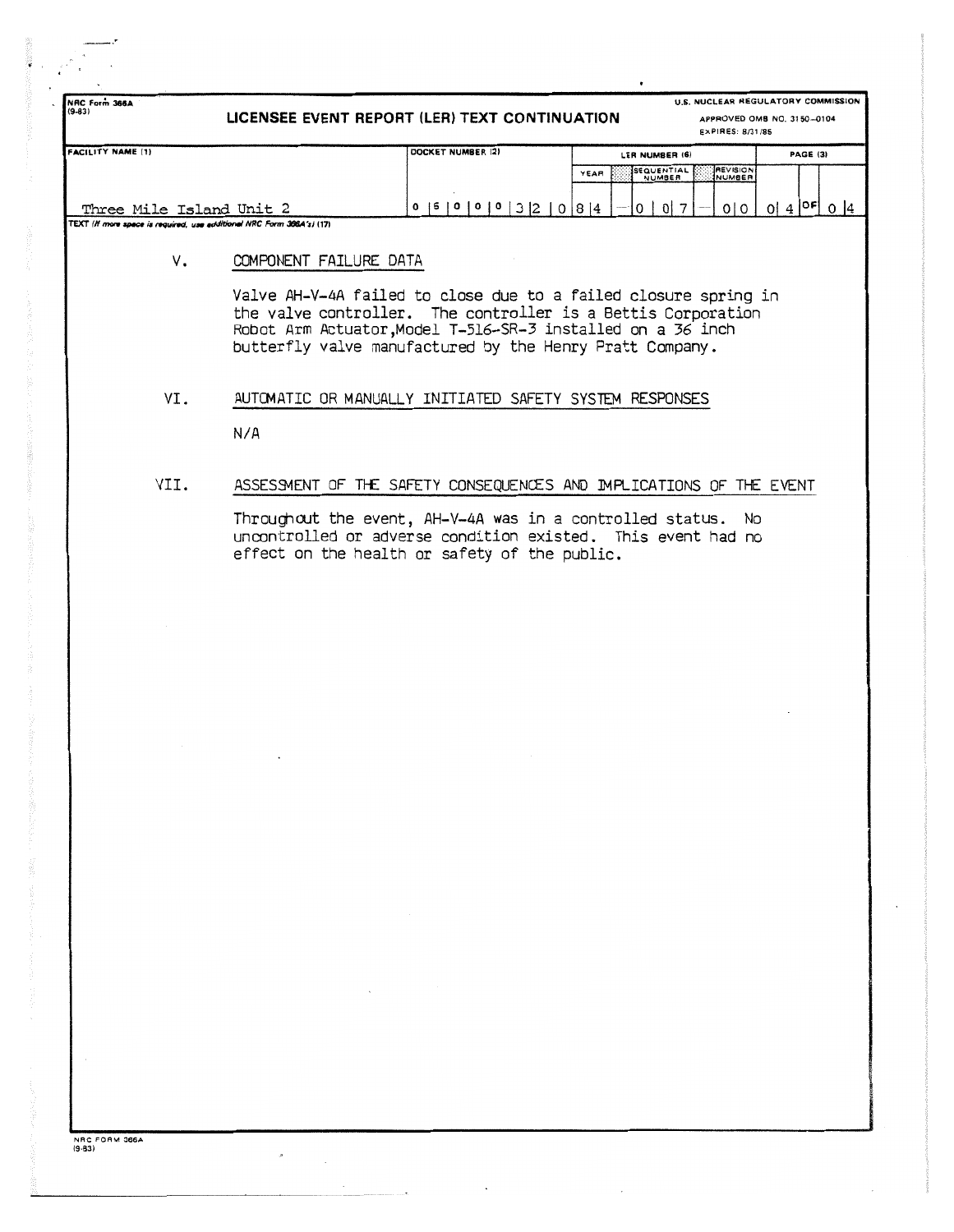| <b>FACILITY NAME (1)</b><br>DOCKET NUMBER (2)<br>LER NUMBER (6)<br>SEQUENTIAL<br>REVISION<br>YEAR<br><b>NUMBER</b><br>NUMBER<br>$0   4  ^{OF}   0   4$<br>$0$  5   0   0   0   3   2   0   8   4<br>$0\vert 7$<br>$\circ$ 1<br>0101<br>Three Mile Island Unit 2<br>TEXT (If more space is required, use additional NRC Form 366A's) (17)<br>V.<br>COMPONENT FAILURE DATA<br>Valve AH-V-4A failed to close due to a failed closure spring in<br>the valve controller. The controller is a Bettis Corporation<br>Robot Arm Actuator, Model T-516-SR-3 installed on a 36 inch<br>butterfly valve manufactured by the Henry Pratt Company.<br>VI.<br>AUTOMATIC OR MANUALLY INITIATED SAFETY SYSTEM RESPONSES<br>N/A<br>VII.<br>ASSESSMENT OF THE SAFETY CONSEQUENCES AND IMPLICATIONS OF THE EVENT<br>Throughout the event, AH-V-4A was in a controlled status.<br>No.<br>uncontrolled or adverse condition existed. This event had no<br>effect on the health or safety of the public. | U.S. NUCLEAR REGULATORY COMMISSION<br>NRC Form 366A<br>$(9 - 83)$<br>LICENSEE EVENT REPORT (LER) TEXT CONTINUATION<br>APPROVED OMB NO. 3150-0104<br>EXPIRES: 8/31/85 |  |  |  |  |  |  |  |
|-------------------------------------------------------------------------------------------------------------------------------------------------------------------------------------------------------------------------------------------------------------------------------------------------------------------------------------------------------------------------------------------------------------------------------------------------------------------------------------------------------------------------------------------------------------------------------------------------------------------------------------------------------------------------------------------------------------------------------------------------------------------------------------------------------------------------------------------------------------------------------------------------------------------------------------------------------------------------------------|----------------------------------------------------------------------------------------------------------------------------------------------------------------------|--|--|--|--|--|--|--|
|                                                                                                                                                                                                                                                                                                                                                                                                                                                                                                                                                                                                                                                                                                                                                                                                                                                                                                                                                                                     | PAGE (3)                                                                                                                                                             |  |  |  |  |  |  |  |
|                                                                                                                                                                                                                                                                                                                                                                                                                                                                                                                                                                                                                                                                                                                                                                                                                                                                                                                                                                                     |                                                                                                                                                                      |  |  |  |  |  |  |  |
|                                                                                                                                                                                                                                                                                                                                                                                                                                                                                                                                                                                                                                                                                                                                                                                                                                                                                                                                                                                     |                                                                                                                                                                      |  |  |  |  |  |  |  |
|                                                                                                                                                                                                                                                                                                                                                                                                                                                                                                                                                                                                                                                                                                                                                                                                                                                                                                                                                                                     |                                                                                                                                                                      |  |  |  |  |  |  |  |
|                                                                                                                                                                                                                                                                                                                                                                                                                                                                                                                                                                                                                                                                                                                                                                                                                                                                                                                                                                                     |                                                                                                                                                                      |  |  |  |  |  |  |  |
|                                                                                                                                                                                                                                                                                                                                                                                                                                                                                                                                                                                                                                                                                                                                                                                                                                                                                                                                                                                     |                                                                                                                                                                      |  |  |  |  |  |  |  |
|                                                                                                                                                                                                                                                                                                                                                                                                                                                                                                                                                                                                                                                                                                                                                                                                                                                                                                                                                                                     |                                                                                                                                                                      |  |  |  |  |  |  |  |
|                                                                                                                                                                                                                                                                                                                                                                                                                                                                                                                                                                                                                                                                                                                                                                                                                                                                                                                                                                                     |                                                                                                                                                                      |  |  |  |  |  |  |  |
|                                                                                                                                                                                                                                                                                                                                                                                                                                                                                                                                                                                                                                                                                                                                                                                                                                                                                                                                                                                     |                                                                                                                                                                      |  |  |  |  |  |  |  |
|                                                                                                                                                                                                                                                                                                                                                                                                                                                                                                                                                                                                                                                                                                                                                                                                                                                                                                                                                                                     |                                                                                                                                                                      |  |  |  |  |  |  |  |
|                                                                                                                                                                                                                                                                                                                                                                                                                                                                                                                                                                                                                                                                                                                                                                                                                                                                                                                                                                                     |                                                                                                                                                                      |  |  |  |  |  |  |  |
|                                                                                                                                                                                                                                                                                                                                                                                                                                                                                                                                                                                                                                                                                                                                                                                                                                                                                                                                                                                     |                                                                                                                                                                      |  |  |  |  |  |  |  |
|                                                                                                                                                                                                                                                                                                                                                                                                                                                                                                                                                                                                                                                                                                                                                                                                                                                                                                                                                                                     |                                                                                                                                                                      |  |  |  |  |  |  |  |
|                                                                                                                                                                                                                                                                                                                                                                                                                                                                                                                                                                                                                                                                                                                                                                                                                                                                                                                                                                                     |                                                                                                                                                                      |  |  |  |  |  |  |  |
|                                                                                                                                                                                                                                                                                                                                                                                                                                                                                                                                                                                                                                                                                                                                                                                                                                                                                                                                                                                     |                                                                                                                                                                      |  |  |  |  |  |  |  |
|                                                                                                                                                                                                                                                                                                                                                                                                                                                                                                                                                                                                                                                                                                                                                                                                                                                                                                                                                                                     |                                                                                                                                                                      |  |  |  |  |  |  |  |
|                                                                                                                                                                                                                                                                                                                                                                                                                                                                                                                                                                                                                                                                                                                                                                                                                                                                                                                                                                                     |                                                                                                                                                                      |  |  |  |  |  |  |  |
|                                                                                                                                                                                                                                                                                                                                                                                                                                                                                                                                                                                                                                                                                                                                                                                                                                                                                                                                                                                     |                                                                                                                                                                      |  |  |  |  |  |  |  |

 $\sigma_{\rm{max}}$